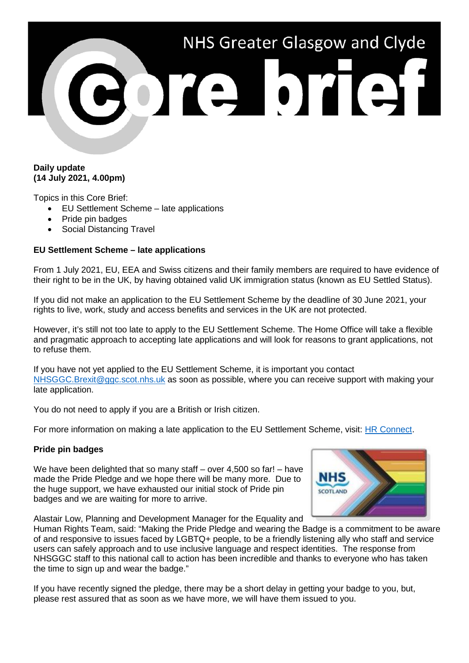# NHS Greater Glasgow and Clyde

### **Daily update (14 July 2021, 4.00pm)**

Topics in this Core Brief:

- EU Settlement Scheme late applications
- Pride pin badges
- Social Distancing Travel

## **EU Settlement Scheme – late applications**

From 1 July 2021, EU, EEA and Swiss citizens and their family members are required to have evidence of their right to be in the UK, by having obtained valid UK immigration status (known as EU Settled Status).

If you did not make an application to the EU Settlement Scheme by the deadline of 30 June 2021, your rights to live, work, study and access benefits and services in the UK are not protected.

However, it's still not too late to apply to the EU Settlement Scheme. The Home Office will take a flexible and pragmatic approach to accepting late applications and will look for reasons to grant applications, not to refuse them.

If you have not yet applied to the EU Settlement Scheme, it is important you contact [NHSGGC.Brexit@ggc.scot.nhs.uk](mailto:NHSGGC.Brexit@ggc.scot.nhs.uk) as soon as possible, where you can receive support with making your late application.

You do not need to apply if you are a British or Irish citizen.

For more information on making a late application to the EU Settlement Scheme, visit: [HR Connect.](https://www.nhsggc.org.uk/working-with-us/hr-connect/brexit-information-for-managers-staff/)

### **Pride pin badges**

We have been delighted that so many staff – over 4,500 so far! – have made the Pride Pledge and we hope there will be many more. Due to the huge support, we have exhausted our initial stock of Pride pin badges and we are waiting for more to arrive.



Alastair Low, Planning and Development Manager for the Equality and

Human Rights Team, said: "Making the Pride Pledge and wearing the Badge is a commitment to be aware of and responsive to issues faced by LGBTQ+ people, to be a friendly listening ally who staff and service users can safely approach and to use inclusive language and respect identities. The response from NHSGGC staff to this national call to action has been incredible and thanks to everyone who has taken the time to sign up and wear the badge."

If you have recently signed the pledge, there may be a short delay in getting your badge to you, but, please rest assured that as soon as we have more, we will have them issued to you.